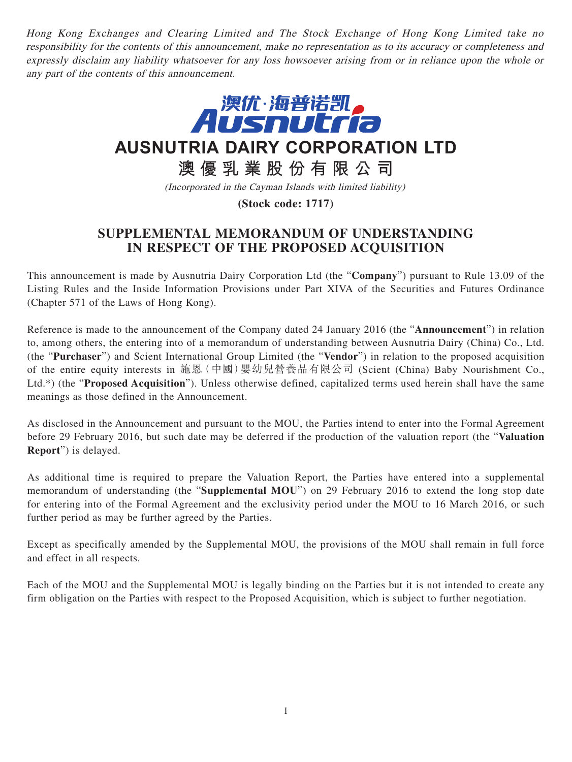Hong Kong Exchanges and Clearing Limited and The Stock Exchange of Hong Kong Limited take no responsibility for the contents of this announcement, make no representation as to its accuracy or completeness and expressly disclaim any liability whatsoever for any loss howsoever arising from or in reliance upon the whole or any part of the contents of this announcement.



**AUSNUTRIA DAIRY CORPORATION LTD**

**澳優乳業股份有限公司**

(Incorporated in the Cayman Islands with limited liability)

**(Stock code: 1717)**

## **SUPPLEMENTAL MEMORANDUM OF UNDERSTANDING IN RESPECT OF THE PROPOSED ACQUISITION**

This announcement is made by Ausnutria Dairy Corporation Ltd (the "**Company**") pursuant to Rule 13.09 of the Listing Rules and the Inside Information Provisions under Part XIVA of the Securities and Futures Ordinance (Chapter 571 of the Laws of Hong Kong).

Reference is made to the announcement of the Company dated 24 January 2016 (the "**Announcement**") in relation to, among others, the entering into of a memorandum of understanding between Ausnutria Dairy (China) Co., Ltd. (the "**Purchaser**") and Scient International Group Limited (the "**Vendor**") in relation to the proposed acquisition of the entire equity interests in 施恩(中國)嬰幼兒營養品有限公司 (Scient (China) Baby Nourishment Co., Ltd.\*) (the "**Proposed Acquisition**"). Unless otherwise defined, capitalized terms used herein shall have the same meanings as those defined in the Announcement.

As disclosed in the Announcement and pursuant to the MOU, the Parties intend to enter into the Formal Agreement before 29 February 2016, but such date may be deferred if the production of the valuation report (the "**Valuation Report**") is delayed.

As additional time is required to prepare the Valuation Report, the Parties have entered into a supplemental memorandum of understanding (the "**Supplemental MOU**") on 29 February 2016 to extend the long stop date for entering into of the Formal Agreement and the exclusivity period under the MOU to 16 March 2016, or such further period as may be further agreed by the Parties.

Except as specifically amended by the Supplemental MOU, the provisions of the MOU shall remain in full force and effect in all respects.

Each of the MOU and the Supplemental MOU is legally binding on the Parties but it is not intended to create any firm obligation on the Parties with respect to the Proposed Acquisition, which is subject to further negotiation.